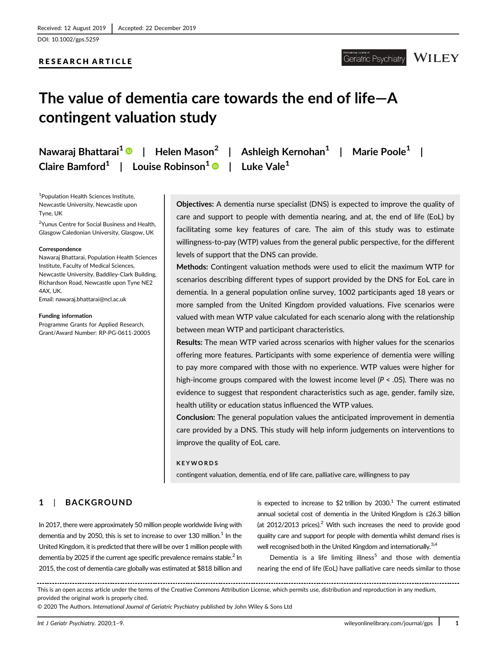DOI: 10.1002/gps.5259

## RESEARCH ARTICLE

# The value of dementia care towards the end of life—A contingent valuation study

Nawaraj Bhattarai<sup>1</sup>  $\bullet$  | Helen Mason<sup>2</sup> | Ashleigh Kernohan<sup>1</sup> | Marie Poole<sup>1</sup> | Claire Bamford<sup>1</sup> | Louise Robinson<sup>1</sup> | Luke Vale<sup>1</sup>

1 Population Health Sciences Institute, Newcastle University, Newcastle upon Tyne, UK

<sup>2</sup>Yunus Centre for Social Business and Health, Glasgow Caledonian University, Glasgow, UK

#### **Correspondence**

Nawaraj Bhattarai, Population Health Sciences Institute, Faculty of Medical Sciences, Newcastle University, Baddiley-Clark Building, Richardson Road, Newcastle upon Tyne NE2 4AX, UK. Email: [nawaraj.bhattarai@ncl.ac.uk](mailto:nawaraj.bhattarai@ncl.ac.uk)

#### Funding information

Programme Grants for Applied Research, Grant/Award Number: RP-PG-0611-20005

Objectives: A dementia nurse specialist (DNS) is expected to improve the quality of care and support to people with dementia nearing, and at, the end of life (EoL) by facilitating some key features of care. The aim of this study was to estimate willingness-to-pay (WTP) values from the general public perspective, for the different levels of support that the DNS can provide.

Methods: Contingent valuation methods were used to elicit the maximum WTP for scenarios describing different types of support provided by the DNS for EoL care in dementia. In a general population online survey, 1002 participants aged 18 years or more sampled from the United Kingdom provided valuations. Five scenarios were valued with mean WTP value calculated for each scenario along with the relationship between mean WTP and participant characteristics.

Results: The mean WTP varied across scenarios with higher values for the scenarios offering more features. Participants with some experience of dementia were willing to pay more compared with those with no experience. WTP values were higher for high-income groups compared with the lowest income level (P < .05). There was no evidence to suggest that respondent characteristics such as age, gender, family size, health utility or education status influenced the WTP values.

Conclusion: The general population values the anticipated improvement in dementia care provided by a DNS. This study will help inform judgements on interventions to improve the quality of EoL care.

### KEYWORDS

contingent valuation, dementia, end of life care, palliative care, willingness to pay

# 1 | BACKGROUND

In 2017, there were approximately 50 million people worldwide living with dementia and by 2050, this is set to increase to over 130 million. $1$  In the United Kingdom, it is predicted that there will be over 1 million people with dementia by 2025 if the current age specific prevalence remains stable.<sup>2</sup> In 2015, the cost of dementia care globally was estimated at \$818 billion and

is expected to increase to \$2 trillion by 2030.<sup>1</sup> The current estimated annual societal cost of dementia in the United Kingdom is £26.3 billion (at  $2012/2013$  prices).<sup>2</sup> With such increases the need to provide good quality care and support for people with dementia whilst demand rises is well recognised both in the United Kingdom and internationally.<sup>3,4</sup>

Dementia is a life limiting illness<sup>5</sup> and those with dementia nearing the end of life (EoL) have palliative care needs similar to those

© 2020 The Authors. International Journal of Geriatric Psychiatry published by John Wiley & Sons Ltd

This is an open access article under the terms of the [Creative Commons Attribution](http://creativecommons.org/licenses/by/4.0/) License, which permits use, distribution and reproduction in any medium, provided the original work is properly cited.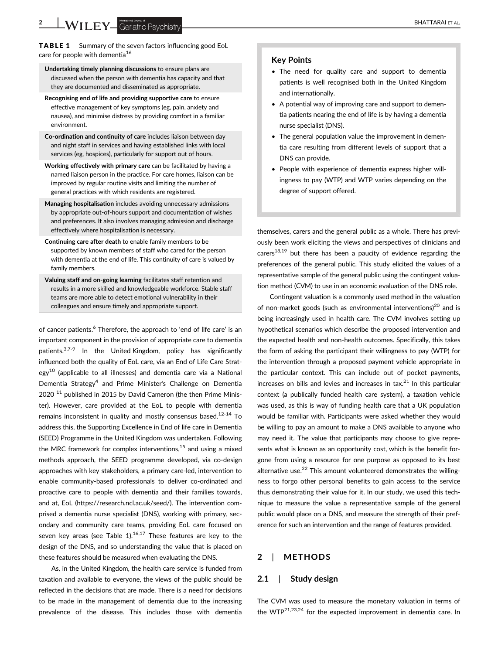TABLE 1 Summary of the seven factors influencing good EoL care for people with dementia<sup>16</sup>

- Undertaking timely planning discussions to ensure plans are discussed when the person with dementia has capacity and that they are documented and disseminated as appropriate.
- Recognising end of life and providing supportive care to ensure effective management of key symptoms (eg, pain, anxiety and nausea), and minimise distress by providing comfort in a familiar environment.
- Co-ordination and continuity of care includes liaison between day and night staff in services and having established links with local services (eg, hospices), particularly for support out of hours.
- Working effectively with primary care can be facilitated by having a named liaison person in the practice. For care homes, liaison can be improved by regular routine visits and limiting the number of general practices with which residents are registered.
- Managing hospitalisation includes avoiding unnecessary admissions by appropriate out-of-hours support and documentation of wishes and preferences. It also involves managing admission and discharge effectively where hospitalisation is necessary.
- Continuing care after death to enable family members to be supported by known members of staff who cared for the person with dementia at the end of life. This continuity of care is valued by family members.
- Valuing staff and on-going learning facilitates staff retention and results in a more skilled and knowledgeable workforce. Stable staff teams are more able to detect emotional vulnerability in their colleagues and ensure timely and appropriate support.

of cancer patients.<sup>6</sup> Therefore, the approach to 'end of life care' is an important component in the provision of appropriate care to dementia patients. $37-9$  In the United Kingdom, policy has significantly influenced both the quality of EoL care, via an End of Life Care Strategy<sup>10</sup> (applicable to all illnesses) and dementia care via a National Dementia Strategy<sup>4</sup> and Prime Minister's Challenge on Dementia  $2020$ <sup>11</sup> published in 2015 by David Cameron (the then Prime Minister). However, care provided at the EoL to people with dementia remains inconsistent in quality and mostly consensus based.<sup>12-14</sup> To address this, the Supporting Excellence in End of life care in Dementia (SEED) Programme in the United Kingdom was undertaken. Following the MRC framework for complex interventions, $15$  and using a mixed methods approach, the SEED programme developed, via co-design approaches with key stakeholders, a primary care-led, intervention to enable community-based professionals to deliver co-ordinated and proactive care to people with dementia and their families towards, and at, EoL (<https://research.ncl.ac.uk/seed/>). The intervention comprised a dementia nurse specialist (DNS), working with primary, secondary and community care teams, providing EoL care focused on seven key areas (see Table  $1$ ).<sup>16,17</sup> These features are key to the design of the DNS, and so understanding the value that is placed on these features should be measured when evaluating the DNS.

As, in the United Kingdom, the health care service is funded from taxation and available to everyone, the views of the public should be reflected in the decisions that are made. There is a need for decisions to be made in the management of dementia due to the increasing prevalence of the disease. This includes those with dementia

## Key Points

- The need for quality care and support to dementia patients is well recognised both in the United Kingdom and internationally.
- A potential way of improving care and support to dementia patients nearing the end of life is by having a dementia nurse specialist (DNS).
- The general population value the improvement in dementia care resulting from different levels of support that a DNS can provide.
- People with experience of dementia express higher willingness to pay (WTP) and WTP varies depending on the degree of support offered.

themselves, carers and the general public as a whole. There has previously been work eliciting the views and perspectives of clinicians and carers $18,19$  but there has been a paucity of evidence regarding the preferences of the general public. This study elicited the values of a representative sample of the general public using the contingent valuation method (CVM) to use in an economic evaluation of the DNS role.

Contingent valuation is a commonly used method in the valuation of non-market goods (such as environmental interventions)20 and is being increasingly used in health care. The CVM involves setting up hypothetical scenarios which describe the proposed intervention and the expected health and non-health outcomes. Specifically, this takes the form of asking the participant their willingness to pay (WTP) for the intervention through a proposed payment vehicle appropriate in the particular context. This can include out of pocket payments, increases on bills and levies and increases in  $tax<sup>21</sup>$  In this particular context (a publically funded health care system), a taxation vehicle was used, as this is way of funding health care that a UK population would be familiar with. Participants were asked whether they would be willing to pay an amount to make a DNS available to anyone who may need it. The value that participants may choose to give represents what is known as an opportunity cost, which is the benefit forgone from using a resource for one purpose as opposed to its best alternative use. $22$  This amount volunteered demonstrates the willingness to forgo other personal benefits to gain access to the service thus demonstrating their value for it. In our study, we used this technique to measure the value a representative sample of the general public would place on a DNS, and measure the strength of their preference for such an intervention and the range of features provided.

# 2 | METHODS

## 2.1 | Study design

The CVM was used to measure the monetary valuation in terms of the WTP<sup>21,23,24</sup> for the expected improvement in dementia care. In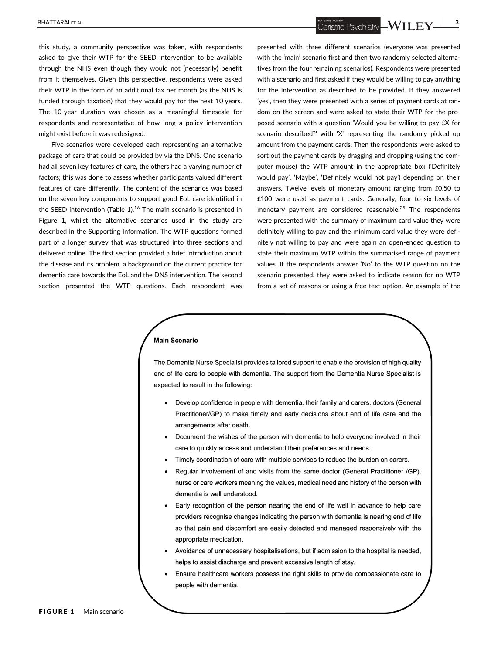$\overline{\text{BHATTARAI ET AL.}}$   $\overline{\text{LEY\_}}$ 

this study, a community perspective was taken, with respondents asked to give their WTP for the SEED intervention to be available through the NHS even though they would not (necessarily) benefit from it themselves. Given this perspective, respondents were asked their WTP in the form of an additional tax per month (as the NHS is funded through taxation) that they would pay for the next 10 years. The 10-year duration was chosen as a meaningful timescale for respondents and representative of how long a policy intervention might exist before it was redesigned.

Five scenarios were developed each representing an alternative package of care that could be provided by via the DNS. One scenario had all seven key features of care, the others had a varying number of factors; this was done to assess whether participants valued different features of care differently. The content of the scenarios was based on the seven key components to support good EoL care identified in the SEED intervention (Table 1).<sup>16</sup> The main scenario is presented in Figure 1, whilst the alternative scenarios used in the study are described in the Supporting Information. The WTP questions formed part of a longer survey that was structured into three sections and delivered online. The first section provided a brief introduction about the disease and its problem, a background on the current practice for dementia care towards the EoL and the DNS intervention. The second section presented the WTP questions. Each respondent was presented with three different scenarios (everyone was presented with the 'main' scenario first and then two randomly selected alternatives from the four remaining scenarios). Respondents were presented with a scenario and first asked if they would be willing to pay anything for the intervention as described to be provided. If they answered 'yes', then they were presented with a series of payment cards at random on the screen and were asked to state their WTP for the proposed scenario with a question 'Would you be willing to pay £X for scenario described?' with 'X' representing the randomly picked up amount from the payment cards. Then the respondents were asked to sort out the payment cards by dragging and dropping (using the computer mouse) the WTP amount in the appropriate box ('Definitely would pay', 'Maybe', 'Definitely would not pay') depending on their answers. Twelve levels of monetary amount ranging from £0.50 to £100 were used as payment cards. Generally, four to six levels of monetary payment are considered reasonable.<sup>25</sup> The respondents were presented with the summary of maximum card value they were definitely willing to pay and the minimum card value they were definitely not willing to pay and were again an open-ended question to state their maximum WTP within the summarised range of payment values. If the respondents answer 'No' to the WTP question on the scenario presented, they were asked to indicate reason for no WTP from a set of reasons or using a free text option. An example of the

### **Main Scenario**

The Dementia Nurse Specialist provides tailored support to enable the provision of high quality end of life care to people with dementia. The support from the Dementia Nurse Specialist is expected to result in the following:

- Develop confidence in people with dementia, their family and carers, doctors (General Practitioner/GP) to make timely and early decisions about end of life care and the arrangements after death.
- Document the wishes of the person with dementia to help everyone involved in their care to quickly access and understand their preferences and needs.
- Timely coordination of care with multiple services to reduce the burden on carers.
- Regular involvement of and visits from the same doctor (General Practitioner /GP). nurse or care workers meaning the values, medical need and history of the person with dementia is well understood.
- Early recognition of the person nearing the end of life well in advance to help care providers recognise changes indicating the person with dementia is nearing end of life so that pain and discomfort are easily detected and managed responsively with the appropriate medication.
- Avoidance of unnecessary hospitalisations, but if admission to the hospital is needed, helps to assist discharge and prevent excessive length of stay.
- Ensure healthcare workers possess the right skills to provide compassionate care to people with dementia.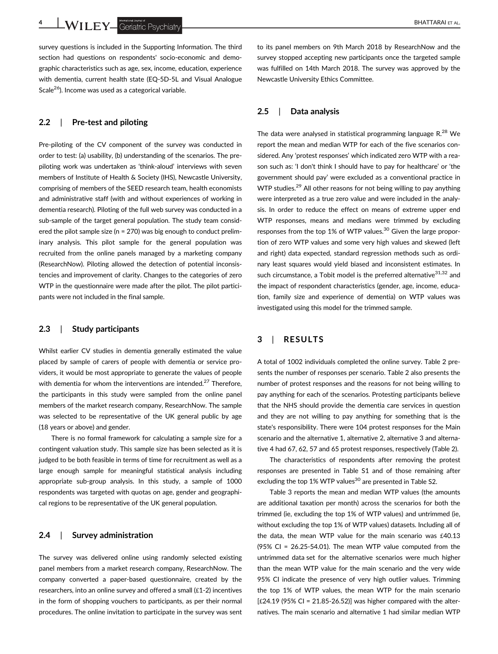4 WILEY Geriatric Psychiatry **Examples** Server AL.

survey questions is included in the Supporting Information. The third section had questions on respondents' socio-economic and demographic characteristics such as age, sex, income, education, experience with dementia, current health state (EQ-5D-5L and Visual Analogue Scale<sup>26</sup>). Income was used as a categorical variable.

## 2.2 | Pre-test and piloting

Pre-piloting of the CV component of the survey was conducted in order to test: (a) usability, (b) understanding of the scenarios. The prepiloting work was undertaken as 'think-aloud' interviews with seven members of Institute of Health & Society (IHS), Newcastle University, comprising of members of the SEED research team, health economists and administrative staff (with and without experiences of working in dementia research). Piloting of the full web survey was conducted in a sub-sample of the target general population. The study team considered the pilot sample size (n = 270) was big enough to conduct preliminary analysis. This pilot sample for the general population was recruited from the online panels managed by a marketing company (ResearchNow). Piloting allowed the detection of potential inconsistencies and improvement of clarity. Changes to the categories of zero WTP in the questionnaire were made after the pilot. The pilot participants were not included in the final sample.

## 2.3 | Study participants

Whilst earlier CV studies in dementia generally estimated the value placed by sample of carers of people with dementia or service providers, it would be most appropriate to generate the values of people with dementia for whom the interventions are intended.<sup>27</sup> Therefore, the participants in this study were sampled from the online panel members of the market research company, ResearchNow. The sample was selected to be representative of the UK general public by age (18 years or above) and gender.

There is no formal framework for calculating a sample size for a contingent valuation study. This sample size has been selected as it is judged to be both feasible in terms of time for recruitment as well as a large enough sample for meaningful statistical analysis including appropriate sub-group analysis. In this study, a sample of 1000 respondents was targeted with quotas on age, gender and geographical regions to be representative of the UK general population.

### 2.4 | Survey administration

The survey was delivered online using randomly selected existing panel members from a market research company, ResearchNow. The company converted a paper-based questionnaire, created by the researchers, into an online survey and offered a small (£1-2) incentives in the form of shopping vouchers to participants, as per their normal procedures. The online invitation to participate in the survey was sent to its panel members on 9th March 2018 by ResearchNow and the survey stopped accepting new participants once the targeted sample was fulfilled on 14th March 2018. The survey was approved by the Newcastle University Ethics Committee.

## 2.5 | Data analysis

The data were analysed in statistical programming language  $R^{28}$  We report the mean and median WTP for each of the five scenarios considered. Any 'protest responses' which indicated zero WTP with a reason such as: 'I don't think I should have to pay for healthcare' or 'the government should pay' were excluded as a conventional practice in WTP studies.<sup>29</sup> All other reasons for not being willing to pay anything were interpreted as a true zero value and were included in the analysis. In order to reduce the effect on means of extreme upper end WTP responses, means and medians were trimmed by excluding responses from the top 1% of WTP values. $30$  Given the large proportion of zero WTP values and some very high values and skewed (left and right) data expected, standard regression methods such as ordinary least squares would yield biased and inconsistent estimates. In such circumstance, a Tobit model is the preferred alternative $31,32$  and the impact of respondent characteristics (gender, age, income, education, family size and experience of dementia) on WTP values was investigated using this model for the trimmed sample.

## 3 | RESULTS

A total of 1002 individuals completed the online survey. Table 2 presents the number of responses per scenario. Table 2 also presents the number of protest responses and the reasons for not being willing to pay anything for each of the scenarios. Protesting participants believe that the NHS should provide the dementia care services in question and they are not willing to pay anything for something that is the state's responsibility. There were 104 protest responses for the Main scenario and the alternative 1, alternative 2, alternative 3 and alternative 4 had 67, 62, 57 and 65 protest responses, respectively (Table 2).

The characteristics of respondents after removing the protest responses are presented in Table S1 and of those remaining after excluding the top 1% WTP values<sup>30</sup> are presented in Table S2.

Table 3 reports the mean and median WTP values (the amounts are additional taxation per month) across the scenarios for both the trimmed (ie, excluding the top 1% of WTP values) and untrimmed (ie, without excluding the top 1% of WTP values) datasets. Including all of the data, the mean WTP value for the main scenario was £40.13 (95% CI = 26.25-54.01). The mean WTP value computed from the untrimmed data set for the alternative scenarios were much higher than the mean WTP value for the main scenario and the very wide 95% CI indicate the presence of very high outlier values. Trimming the top 1% of WTP values, the mean WTP for the main scenario  $[£24.19 (95% CI = 21.85-26.52)]$  was higher compared with the alternatives. The main scenario and alternative 1 had similar median WTP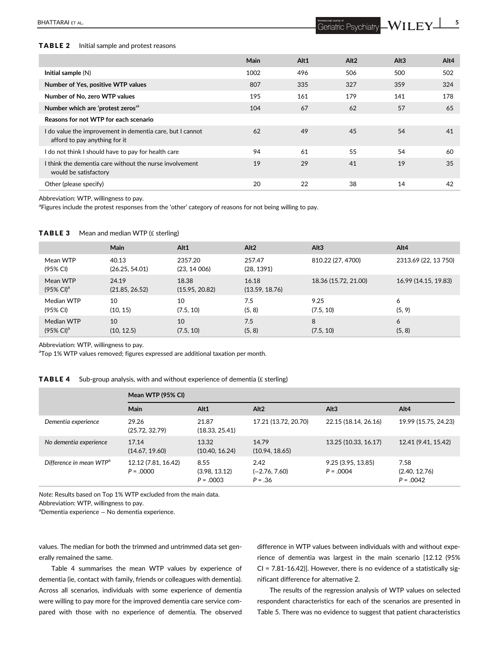# BHATTARAI ET AL. SANTARAI ET AL. SANTARAI ET AL. SANTARAI ET AL. SANTARAI ET AL. SANTARAI ET AL. SANTARAI ET AL. SANTARAI ET AL. SANTARAI ET AL. SANTARAI ET AL. SANTARAI ET AL. SANTARAI ET AL. SANTARAI ET AL. SANTARAI ET A

### TABLE 2 Initial sample and protest reasons

| Main | Alt1 | Alt <sub>2</sub> | Alt3 | Alt4 |
|------|------|------------------|------|------|
| 1002 | 496  | 506              | 500  | 502  |
| 807  | 335  | 327              | 359  | 324  |
| 195  | 161  | 179              | 141  | 178  |
| 104  | 67   | 62               | 57   | 65   |
|      |      |                  |      |      |
| 62   | 49   | 45               | 54   | 41   |
| 94   | 61   | 55               | 54   | 60   |
| 19   | 29   | 41               | 19   | 35   |
| 20   | 22   | 38               | 14   | 42   |
|      |      |                  |      |      |

Abbreviation: WTP, willingness to pay.

<sup>a</sup>Figures include the protest responses from the 'other' category of reasons for not being willing to pay.

#### **TABLE 3** Mean and median WTP ( $f$  sterling)

|                                              | <b>Main</b>             | Alt1                    | Alt <sub>2</sub>        | Alt3                 | Alt4                 |
|----------------------------------------------|-------------------------|-------------------------|-------------------------|----------------------|----------------------|
| Mean WTP<br>(95% CI)                         | 40.13<br>(26.25, 54.01) | 2357.20<br>(23, 14006)  | 257.47<br>(28, 1391)    | 810.22 (27, 4700)    | 2313.69 (22, 13 750) |
| Mean WTP<br>$(95\% \text{ Cl})^{\text{a}}$   | 24.19<br>(21.85, 26.52) | 18.38<br>(15.95, 20.82) | 16.18<br>(13.59, 18.76) | 18.36 (15.72, 21.00) | 16.99 (14.15, 19.83) |
| Median WTP<br>(95% CI)                       | 10<br>(10, 15)          | 10<br>(7.5, 10)         | 7.5<br>(5, 8)           | 9.25<br>(7.5, 10)    | 6<br>(5, 9)          |
| Median WTP<br>$(95\% \text{ Cl})^{\text{a}}$ | 10<br>(10, 12.5)        | 10<br>(7.5, 10)         | 7.5<br>(5, 8)           | 8<br>(7.5, 10)       | 6<br>(5, 8)          |

Abbreviation: WTP, willingness to pay.

<sup>a</sup>Top 1% WTP values removed; figures expressed are additional taxation per month.

### **TABLE 4** Sub-group analysis, with and without experience of dementia ( $\pounds$  sterling)

|                                     | Mean WTP (95% CI)                  |                                      |                                      |                                  |                                      |
|-------------------------------------|------------------------------------|--------------------------------------|--------------------------------------|----------------------------------|--------------------------------------|
|                                     | Main                               | Alt1                                 | Alt2                                 | Alt3                             | Alt4                                 |
| Dementia experience                 | 29.26<br>(25.72, 32.79)            | 21.87<br>(18.33, 25.41)              | 17.21 (13.72, 20.70)                 | 22.15 (18.14, 26.16)             | 19.99 (15.75, 24.23)                 |
| No dementia experience              | 17.14<br>(14.67, 19.60)            | 13.32<br>(10.40, 16.24)              | 14.79<br>(10.94, 18.65)              | 13.25 (10.33, 16.17)             | 12.41 (9.41, 15.42)                  |
| Difference in mean WTP <sup>a</sup> | 12.12 (7.81, 16.42)<br>$P = .0000$ | 8.55<br>(3.98, 13.12)<br>$P = .0003$ | 2.42<br>$(-2.76, 7.60)$<br>$P = .36$ | 9.25(3.95, 13.85)<br>$P = .0004$ | 7.58<br>(2.40, 12.76)<br>$P = .0042$ |

Note: Results based on Top 1% WTP excluded from the main data.

Abbreviation: WTP, willingness to pay.

<sup>a</sup>Dementia experience – No dementia experience.

values. The median for both the trimmed and untrimmed data set generally remained the same.

Table 4 summarises the mean WTP values by experience of dementia (ie, contact with family, friends or colleagues with dementia). Across all scenarios, individuals with some experience of dementia were willing to pay more for the improved dementia care service compared with those with no experience of dementia. The observed difference in WTP values between individuals with and without experience of dementia was largest in the main scenario [12.12 (95% CI = 7.81-16.42)]. However, there is no evidence of a statistically significant difference for alternative 2.

The results of the regression analysis of WTP values on selected respondent characteristics for each of the scenarios are presented in Table 5. There was no evidence to suggest that patient characteristics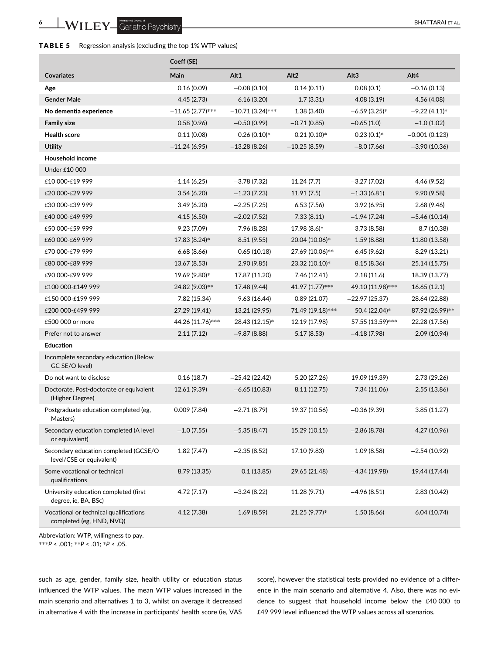| TABLE 5<br>Regression analysis (excluding the top 1% WTP values) |  |  |  |  |
|------------------------------------------------------------------|--|--|--|--|
|------------------------------------------------------------------|--|--|--|--|

|                                                                    | Coeff (SE)         |                    |                  |                  |                 |
|--------------------------------------------------------------------|--------------------|--------------------|------------------|------------------|-----------------|
| <b>Covariates</b>                                                  | Main               | Alt1               | Alt <sub>2</sub> | Alt <sub>3</sub> | Alt4            |
| Age                                                                | 0.16(0.09)         | $-0.08(0.10)$      | 0.14(0.11)       | 0.08(0.1)        | $-0.16(0.13)$   |
| <b>Gender Male</b>                                                 | 4.45(2.73)         | 6.16(3.20)         | 1.7(3.31)        | 4.08(3.19)       | 4.56 (4.08)     |
| No dementia experience                                             | $-11.65(2.77)$ *** | $-10.71(3.24)$ *** | 1.38(3.40)       | $-6.59(3.25)*$   | $-9.22(4.11)*$  |
| <b>Family size</b>                                                 | 0.58(0.96)         | $-0.50(0.99)$      | $-0.71(0.85)$    | $-0.65(1.0)$     | $-1.0(1.02)$    |
| <b>Health score</b>                                                | 0.11(0.08)         | $0.26(0.10)*$      | $0.21(0.10)*$    | $0.23(0.1)*$     | $-0.001(0.123)$ |
| <b>Utility</b>                                                     | $-11.24(6.95)$     | $-13.28(8.26)$     | $-10.25(8.59)$   | $-8.0(7.66)$     | $-3.90(10.36)$  |
| Household income                                                   |                    |                    |                  |                  |                 |
| Under £10 000                                                      |                    |                    |                  |                  |                 |
| £10 000-£19 999                                                    | $-1.14(6.25)$      | $-3.78(7.32)$      | 11.24(7.7)       | $-3.27(7.02)$    | 4.46 (9.52)     |
| £20 000-£29 999                                                    | 3.54(6.20)         | $-1.23(7.23)$      | 11.91(7.5)       | $-1.33(6.81)$    | 9.90(9.58)      |
| £30 000-£39 999                                                    | 3.49(6.20)         | $-2.25(7.25)$      | 6.53(7.56)       | 3.92(6.95)       | 2.68(9.46)      |
| £40 000-£49 999                                                    | 4.15(6.50)         | $-2.02(7.52)$      | 7.33(8.11)       | $-1.94(7.24)$    | $-5.46(10.14)$  |
| £50 000-£59 999                                                    | 9.23 (7.09)        | 7.96 (8.28)        | 17.98 (8.6)*     | 3.73(8.58)       | 8.7 (10.38)     |
| £60 000-£69 999                                                    | 17.83 (8.24)*      | 8.51(9.55)         | 20.04 (10.06)*   | 1.59(8.88)       | 11.80 (13.58)   |
| £70 000-£79 999                                                    | 6.68(8.66)         | 0.65(10.18)        | 27.69 (10.06)**  | 6.45(9.62)       | 8.29 (13.21)    |
| £80 000-£89 999                                                    | 13.67 (8.53)       | 2.90(9.85)         | 23.32 (10.10)*   | 8.15(8.36)       | 25.14 (15.75)   |
| £90 000-£99 999                                                    | 19.69 (9.80)*      | 17.87 (11.20)      | 7.46 (12.41)     | 2.18(11.6)       | 18.39 (13.77)   |
| £100 000-£149 999                                                  | 24.82 (9.03)**     | 17.48 (9.44)       | 41.97 (1.77)***  | 49.10 (11.98)*** | 16.65(12.1)     |
| £150 000-£199 999                                                  | 7.82 (15.34)       | 9.63(16.44)        | 0.89(21.07)      | $-22.97(25.37)$  | 28.64 (22.88)   |
| £200 000-£499 999                                                  | 27.29 (19.41)      | 13.21 (29.95)      | 71.49 (19.18)*** | 50.4 (22.04)*    | 87.92 (26.99)** |
| £500 000 or more                                                   | 44.26 (11.76)***   | 28.43 (12.15)*     | 12.19 (17.98)    | 57.55 (13.59)*** | 22.28 (17.56)   |
| Prefer not to answer                                               | 2.11(7.12)         | $-9.87(8.88)$      | 5.17(8.53)       | $-4.18(7.98)$    | 2.09 (10.94)    |
| <b>Education</b>                                                   |                    |                    |                  |                  |                 |
| Incomplete secondary education (Below<br>GC SE/O level)            |                    |                    |                  |                  |                 |
| Do not want to disclose                                            | 0.16(18.7)         | $-25.42(22.42)$    | 5.20 (27.26)     | 19.09 (19.39)    | 2.73 (29.26)    |
| Doctorate, Post-doctorate or equivalent<br>(Higher Degree)         | 12.61 (9.39)       | $-6.65(10.83)$     | 8.11 (12.75)     | 7.34 (11.06)     | 2.55 (13.86)    |
| Postgraduate education completed (eg,<br>Masters)                  | 0.009(7.84)        | $-2.71(8.79)$      | 19.37 (10.56)    | $-0.36(9.39)$    | 3.85(11.27)     |
| Secondary education completed (A level<br>or equivalent)           | $-1.0(7.55)$       | $-5.35(8.47)$      | 15.29 (10.15)    | $-2.86(8.78)$    | 4.27 (10.96)    |
| Secondary education completed (GCSE/O<br>level/CSE or equivalent)  | 1.82(7.47)         | $-2.35(8.52)$      | 17.10 (9.83)     | 1.09(8.58)       | $-2.54(10.92)$  |
| Some vocational or technical<br>qualifications                     | 8.79 (13.35)       | 0.1(13.85)         | 29.65 (21.48)    | $-4.34(19.98)$   | 19.44 (17.44)   |
| University education completed (first<br>degree, ie, BA, BSc)      | 4.72(7.17)         | $-3.24(8.22)$      | 11.28 (9.71)     | $-4.96(8.51)$    | 2.83 (10.42)    |
| Vocational or technical qualifications<br>completed (eg, HND, NVQ) | 4.12(7.38)         | 1.69(8.59)         | 21.25 (9.77)*    | 1.50(8.66)       | 6.04(10.74)     |

Abbreviation: WTP, willingness to pay.

\*\*\*P < .001; \*\*P < .01; \*P < .05.

such as age, gender, family size, health utility or education status influenced the WTP values. The mean WTP values increased in the main scenario and alternatives 1 to 3, whilst on average it decreased in alternative 4 with the increase in participants' health score (ie, VAS score), however the statistical tests provided no evidence of a difference in the main scenario and alternative 4. Also, there was no evidence to suggest that household income below the £40 000 to £49 999 level influenced the WTP values across all scenarios.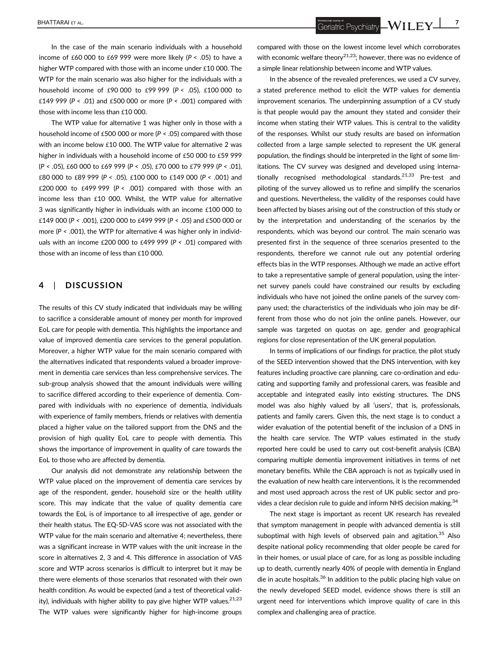In the case of the main scenario individuals with a household income of £60 000 to £69 999 were more likely ( $P < .05$ ) to have a higher WTP compared with those with an income under £10 000. The WTP for the main scenario was also higher for the individuals with a household income of £90 000 to £99 999 (P < .05), £100 000 to £149 999 ( $P < .01$ ) and £500 000 or more ( $P < .001$ ) compared with those with income less than £10 000.

The WTP value for alternative 1 was higher only in those with a household income of £500 000 or more (P < .05) compared with those with an income below £10 000. The WTP value for alternative 2 was higher in individuals with a household income of £50 000 to £59 999 (P < .05), £60 000 to £69 999 (P < .05), £70 000 to £79 999 (P < .01), £80 000 to £89 999 (P < .05), £100 000 to £149 000 (P < .001) and £200 000 to £499 999 ( $P < .001$ ) compared with those with an income less than £10 000. Whilst, the WTP value for alternative 3 was significantly higher in individuals with an income £100 000 to £149 000 (P < .001), £200 000 to £499 999 (P < .05) and £500 000 or more ( $P < .001$ ), the WTP for alternative 4 was higher only in individuals with an income £200 000 to £499 999 ( $P < .01$ ) compared with those with an income of less than £10 000.

# 4 | DISCUSSION

The results of this CV study indicated that individuals may be willing to sacrifice a considerable amount of money per month for improved EoL care for people with dementia. This highlights the importance and value of improved dementia care services to the general population. Moreover, a higher WTP value for the main scenario compared with the alternatives indicated that respondents valued a broader improvement in dementia care services than less comprehensive services. The sub-group analysis showed that the amount individuals were willing to sacrifice differed according to their experience of dementia. Compared with individuals with no experience of dementia, individuals with experience of family members, friends or relatives with dementia placed a higher value on the tailored support from the DNS and the provision of high quality EoL care to people with dementia. This shows the importance of improvement in quality of care towards the EoL to those who are affected by dementia.

Our analysis did not demonstrate any relationship between the WTP value placed on the improvement of dementia care services by age of the respondent, gender, household size or the health utility score. This may indicate that the value of quality dementia care towards the EoL is of importance to all irrespective of age, gender or their health status. The EQ-5D-VAS score was not associated with the WTP value for the main scenario and alternative 4; nevertheless, there was a significant increase in WTP values with the unit increase in the score in alternatives 2, 3 and 4. This difference in association of VAS score and WTP across scenarios is difficult to interpret but it may be there were elements of those scenarios that resonated with their own health condition. As would be expected (and a test of theoretical validity), individuals with higher ability to pay give higher WTP values. $21,23$ The WTP values were significantly higher for high-income groups

BHATTARAI ET AL. **2008 ANDER SECOND ACCORD AND THE UPPER SCRIPTION AND ACCORD AND ACCORD AND ACCORD ACCORD AND THE UPPER SCRIPTION OF THE UPPER SCRIPTION OF THE UPPER SCRIPTION OF THE UPPER SCRIPTION OF THE UPPER SCRIPTION** 

compared with those on the lowest income level which corroborates with economic welfare theory<sup>21,23</sup>; however, there was no evidence of a simple linear relationship between income and WTP values.

In the absence of the revealed preferences, we used a CV survey, a stated preference method to elicit the WTP values for dementia improvement scenarios. The underpinning assumption of a CV study is that people would pay the amount they stated and consider their income when stating their WTP values. This is central to the validity of the responses. Whilst our study results are based on information collected from a large sample selected to represent the UK general population, the findings should be interpreted in the light of some limitations. The CV survey was designed and developed using internationally recognised methodological standards.<sup>21,33</sup> Pre-test and piloting of the survey allowed us to refine and simplify the scenarios and questions. Nevertheless, the validity of the responses could have been affected by biases arising out of the construction of this study or by the interpretation and understanding of the scenarios by the respondents, which was beyond our control. The main scenario was presented first in the sequence of three scenarios presented to the respondents, therefore we cannot rule out any potential ordering effects bias in the WTP responses. Although we made an active effort to take a representative sample of general population, using the internet survey panels could have constrained our results by excluding individuals who have not joined the online panels of the survey company used; the characteristics of the individuals who join may be different from those who do not join the online panels. However, our sample was targeted on quotas on age, gender and geographical regions for close representation of the UK general population.

In terms of implications of our findings for practice, the pilot study of the SEED intervention showed that the DNS intervention, with key features including proactive care planning, care co-ordination and educating and supporting family and professional carers, was feasible and acceptable and integrated easily into existing structures. The DNS model was also highly valued by all 'users', that is, professionals, patients and family carers. Given this, the next stage is to conduct a wider evaluation of the potential benefit of the inclusion of a DNS in the health care service. The WTP values estimated in the study reported here could be used to carry out cost-benefit analysis (CBA) comparing multiple dementia improvement initiatives in terms of net monetary benefits. While the CBA approach is not as typically used in the evaluation of new health care interventions, it is the recommended and most used approach across the rest of UK public sector and provides a clear decision rule to guide and inform NHS decision making.<sup>34</sup>

The next stage is important as recent UK research has revealed that symptom management in people with advanced dementia is still suboptimal with high levels of observed pain and agitation.<sup>35</sup> Also despite national policy recommending that older people be cared for in their homes, or usual place of care, for as long as possible including up to death, currently nearly 40% of people with dementia in England die in acute hospitals.<sup>36</sup> In addition to the public placing high value on the newly developed SEED model, evidence shows there is still an urgent need for interventions which improve quality of care in this complex and challenging area of practice.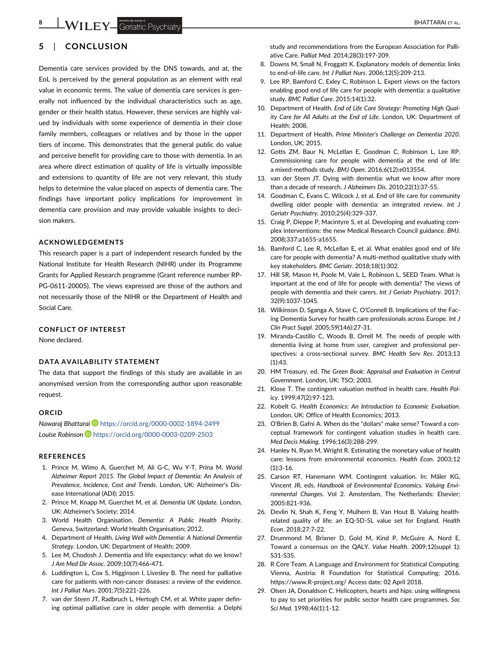# 8 **WILEY** Geriatric Psychiatry **Example 2018** BHATTARAI ET AL.

# 5 | CONCLUSION

Dementia care services provided by the DNS towards, and at, the EoL is perceived by the general population as an element with real value in economic terms. The value of dementia care services is generally not influenced by the individual characteristics such as age, gender or their health status. However, these services are highly valued by individuals with some experience of dementia in their close family members, colleagues or relatives and by those in the upper tiers of income. This demonstrates that the general public do value and perceive benefit for providing care to those with dementia. In an area where direct estimation of quality of life is virtually impossible and extensions to quantity of life are not very relevant, this study helps to determine the value placed on aspects of dementia care. The findings have important policy implications for improvement in dementia care provision and may provide valuable insights to decision makers.

### ACKNOWLEDGEMENTS

This research paper is a part of independent research funded by the National Institute for Health Research (NIHR) under its Programme Grants for Applied Research programme (Grant reference number RP-PG-0611-20005). The views expressed are those of the authors and not necessarily those of the NIHR or the Department of Health and Social Care.

### CONFLICT OF INTEREST

None declared.

### DATA AVAILABILITY STATEMENT

The data that support the findings of this study are available in an anonymised version from the corresponding author upon reasonable request.

### ORCID

Nawaraj Bhattarai D <https://orcid.org/0000-0002-1894-2499> Louise Robinson D <https://orcid.org/0000-0003-0209-2503>

### REFERENCES

- 1. Prince M, Wimo A, Guerchet M, Ali G-C, Wu Y-T, Prina M. World Alzheimer Report 2015. The Global Impact of Dementia: An Analysis of Prevalence, Incidence, Cost and Trends. London, UK: Alzheimer's Disease International (ADI); 2015.
- 2. Prince M, Knapp M, Guerchet M, et al. Dementia UK Update. London, UK: Alzheimer's Society; 2014.
- 3. World Health Organisation. Dementia: A Public Health Priority. Geneva, Switzerland: World Health Organisation; 2012.
- 4. Department of Health. Living Well with Dementia: A National Dementia Strategy. London, UK: Department of Health; 2009.
- 5. Lee M, Chodosh J. Dementia and life expectancy: what do we know? J Am Med Dir Assoc. 2009;10(7):466-471.
- 6. Luddington L, Cox S, Higginson I, Livesley B. The need for palliative care for patients with non-cancer diseases: a review of the evidence. Int J Palliat Nurs. 2001;7(5):221-226.
- 7. van der Steen JT, Radbruch L, Hertogh CM, et al. White paper defining optimal palliative care in older people with dementia: a Delphi

study and recommendations from the European Association for Palliative Care. Palliat Med. 2014;28(3):197-209.

- 8. Downs M, Small N, Froggatt K. Explanatory models of dementia: links to end-of-life care. Int J Palliat Nurs. 2006;12(5):209-213.
- 9. Lee RP, Bamford C, Exley C, Robinson L. Expert views on the factors enabling good end of life care for people with dementia: a qualitative study. BMC Palliat Care. 2015;14(1):32.
- 10. Department of Health. End of Life Care Strategy: Promoting High Quality Care for All Adults at the End of Life. London, UK: Department of Health; 2008.
- 11. Department of Health. Prime Minister's Challenge on Dementia 2020. London, UK; 2015.
- 12. Gotts ZM, Baur N, McLellan E, Goodman C, Robinson L, Lee RP. Commissioning care for people with dementia at the end of life: a mixed-methods study. BMJ Open. 2016;6(12):e013554.
- 13. van der Steen JT. Dying with dementia: what we know after more than a decade of research. J Alzheimers Dis. 2010;22(1):37-55.
- 14. Goodman C, Evans C, Wilcock J, et al. End of life care for community dwelling older people with dementia: an integrated review. Int J Geriatr Psychiatry. 2010;25(4):329-337.
- 15. Craig P, Dieppe P, Macintyre S, et al. Developing and evaluating complex interventions: the new Medical Research Council guidance. BMJ. 2008;337:a1655-a1655.
- 16. Bamford C, Lee R, McLellan E, et al. What enables good end of life care for people with dementia? A multi-method qualitative study with key stakeholders. BMC Geriatr. 2018;18(1):302.
- 17. Hill SR, Mason H, Poole M, Vale L, Robinson L, SEED Team. What is important at the end of life for people with dementia? The views of people with dementia and their carers. Int J Geriatr Psychiatry. 2017; 32(9):1037-1045.
- 18. Wilkinson D, Sganga A, Stave C, O'Connell B. Implications of the Facing Dementia Survey for health care professionals across Europe. Int J Clin Pract Suppl. 2005;59(146):27-31.
- 19. Miranda-Castillo C, Woods B, Orrell M. The needs of people with dementia living at home from user, caregiver and professional perspectives: a cross-sectional survey. BMC Health Serv Res. 2013;13 (1):43.
- 20. HM Treasury, ed. The Green Book: Appraisal and Evaluation in Central Government. London, UK: TSO; 2003.
- 21. Klose T. The contingent valuation method in health care. Health Policy. 1999;47(2):97-123.
- 22. Kobelt G. Health Economics: An Introduction to Economic Evaluation. London, UK: Office of Health Economics; 2013.
- 23. O'Brien B, Gafni A. When do the "dollars" make sense? Toward a conceptual framework for contingent valuation studies in health care. Med Decis Making. 1996;16(3):288-299.
- 24. Hanley N, Ryan M, Wright R. Estimating the monetary value of health care: lessons from environmental economics. Health Econ. 2003;12 (1):3-16.
- 25. Carson RT, Hanemann WM. Contingent valuation. In: Mäler KG, Vincent JR, eds. Handbook of Environmental Economics. Valuing Environmental Changes. Vol 2. Amsterdam, The Netherlands: Elsevier; 2005:821-936.
- 26. Devlin N, Shah K, Feng Y, Mulhern B, Van Hout B. Valuing healthrelated quality of life: an EQ-5D-5L value set for England. Health Econ. 2018;27:7-22.
- 27. Drummond M, Brixner D, Gold M, Kind P, McGuire A, Nord E. Toward a consensus on the QALY. Value Health. 2009;12(suppl 1): S31-S35.
- 28. R Core Team. A Language and Environment for Statistical Computing. Vienna, Austria: R Foundation for Statistical Computing; 2016. [https://www.R-project.org/](https://www.r-project.org/) Access date: 02 April 2018.
- 29. Olsen JA, Donaldson C. Helicopters, hearts and hips: using willingness to pay to set priorities for public sector health care programmes. Soc Sci Med. 1998;46(1):1-12.